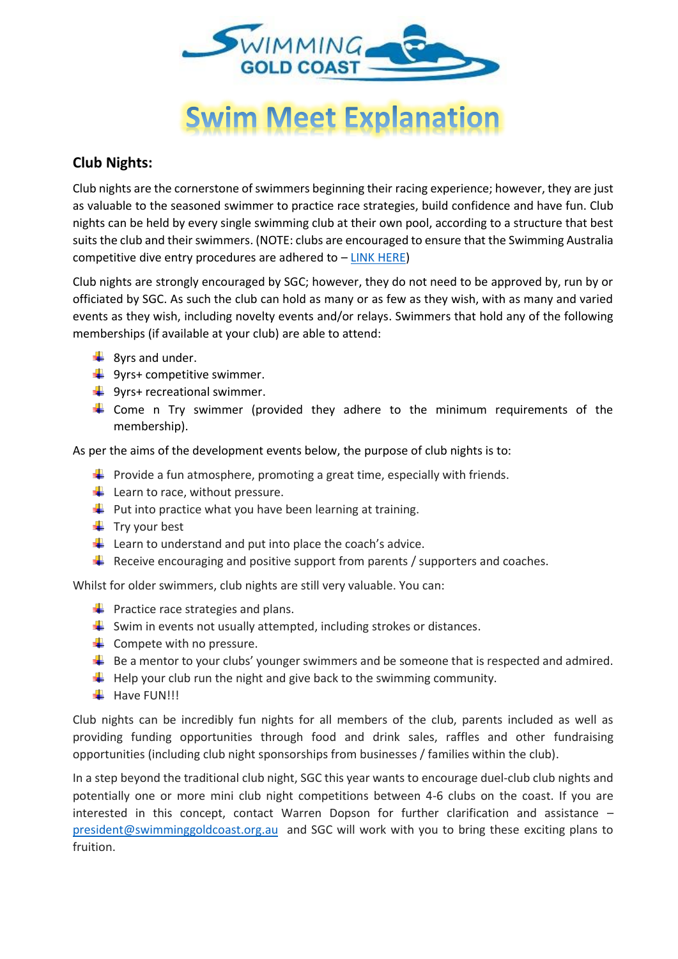

# **Swim Meet Explanation**

#### **Club Nights:**

Club nights are the cornerstone of swimmers beginning their racing experience; however, they are just as valuable to the seasoned swimmer to practice race strategies, build confidence and have fun. Club nights can be held by every single swimming club at their own pool, according to a structure that best suits the club and their swimmers. (NOTE: clubs are encouraged to ensure that the Swimming Australia competitive dive entry procedures are adhered to – [LINK HERE\)](https://www.swimming.org.au/sites/default/files/assets/documents/SAL-Dive-Entry-for-Competitive-Swimming-Policy-FINAL-1-Aug-2018.pdf)

Club nights are strongly encouraged by SGC; however, they do not need to be approved by, run by or officiated by SGC. As such the club can hold as many or as few as they wish, with as many and varied events as they wish, including novelty events and/or relays. Swimmers that hold any of the following memberships (if available at your club) are able to attend:

- $\overline{\phantom{a}}$  8yrs and under.
- $\frac{1}{2}$  9yrs+ competitive swimmer.
- $\frac{1}{2}$  9yrs+ recreational swimmer.
- $\ddot$  Come n Try swimmer (provided they adhere to the minimum requirements of the membership).

As per the aims of the development events below, the purpose of club nights is to:

- **Provide a fun atmosphere, promoting a great time, especially with friends.**
- $\overline{\phantom{a}}$  Learn to race, without pressure.
- $\downarrow$  Put into practice what you have been learning at training.
- $\ddot{\bullet}$  Try your best
- $\downarrow$  Learn to understand and put into place the coach's advice.
- $\ddot{\phantom{1}}$  Receive encouraging and positive support from parents / supporters and coaches.

Whilst for older swimmers, club nights are still very valuable. You can:

- $\bigstar$  Practice race strategies and plans.
- $\frac{1}{\sqrt{2}}$  Swim in events not usually attempted, including strokes or distances.
- $\leftarrow$  Compete with no pressure.
- $\ddot{\bullet}$  Be a mentor to your clubs' younger swimmers and be someone that is respected and admired.
- $\downarrow$  Help your club run the night and give back to the swimming community.
- $\blacksquare$  Have FUN!!!

Club nights can be incredibly fun nights for all members of the club, parents included as well as providing funding opportunities through food and drink sales, raffles and other fundraising opportunities (including club night sponsorships from businesses / families within the club).

In a step beyond the traditional club night, SGC this year wants to encourage duel-club club nights and potentially one or more mini club night competitions between 4-6 clubs on the coast. If you are interested in this concept, contact Warren Dopson for further clarification and assistance – [president@swimminggoldcoast.org.au](mailto:president@swimminggoldcoast.org.au) and SGC will work with you to bring these exciting plans to fruition.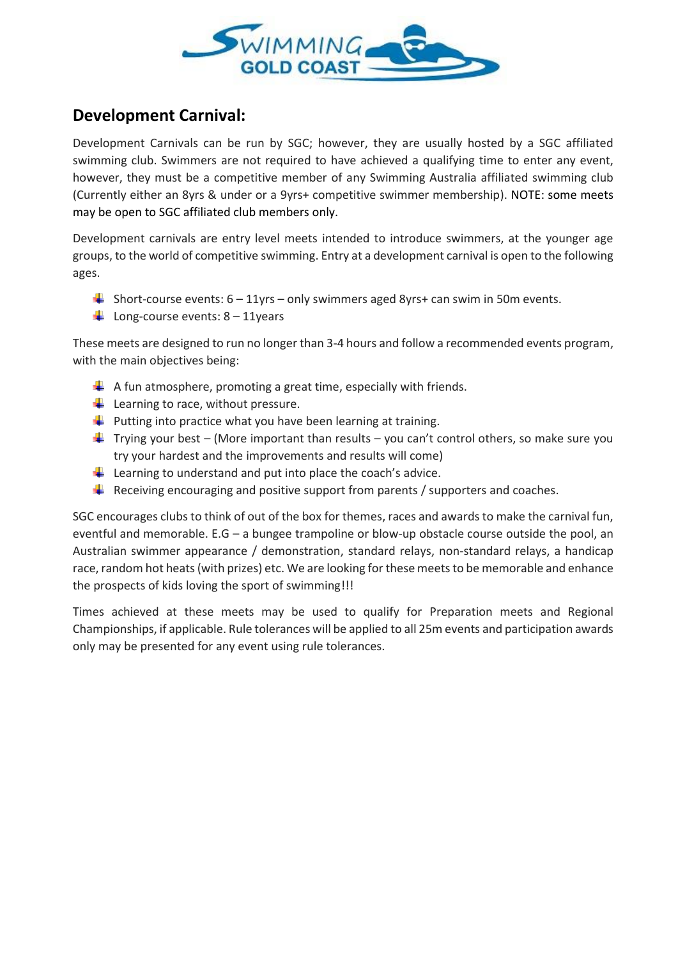

## **Development Carnival:**

Development Carnivals can be run by SGC; however, they are usually hosted by a SGC affiliated swimming club. Swimmers are not required to have achieved a qualifying time to enter any event, however, they must be a competitive member of any Swimming Australia affiliated swimming club (Currently either an 8yrs & under or a 9yrs+ competitive swimmer membership). NOTE: some meets may be open to SGC affiliated club members only.

Development carnivals are entry level meets intended to introduce swimmers, at the younger age groups, to the world of competitive swimming. Entry at a development carnival is open to the following ages.

- Short-course events:  $6 11$ yrs only swimmers aged 8yrs+ can swim in 50m events.
- $\downarrow$  Long-course events: 8 11years

These meets are designed to run no longer than 3-4 hours and follow a recommended events program, with the main objectives being:

- $\downarrow$  A fun atmosphere, promoting a great time, especially with friends.
- $\overline{\phantom{a}}$  Learning to race, without pressure.
- $\downarrow$  Putting into practice what you have been learning at training.
- $\ddot{+}$  Trying your best (More important than results you can't control others, so make sure you try your hardest and the improvements and results will come)
- Learning to understand and put into place the coach's advice.
- $\ddot{\phantom{1}}$  Receiving encouraging and positive support from parents / supporters and coaches.

SGC encourages clubs to think of out of the box for themes, races and awards to make the carnival fun, eventful and memorable. E.G – a bungee trampoline or blow-up obstacle course outside the pool, an Australian swimmer appearance / demonstration, standard relays, non-standard relays, a handicap race, random hot heats (with prizes) etc. We are looking for these meets to be memorable and enhance the prospects of kids loving the sport of swimming!!!

Times achieved at these meets may be used to qualify for Preparation meets and Regional Championships, if applicable. Rule tolerances will be applied to all 25m events and participation awards only may be presented for any event using rule tolerances.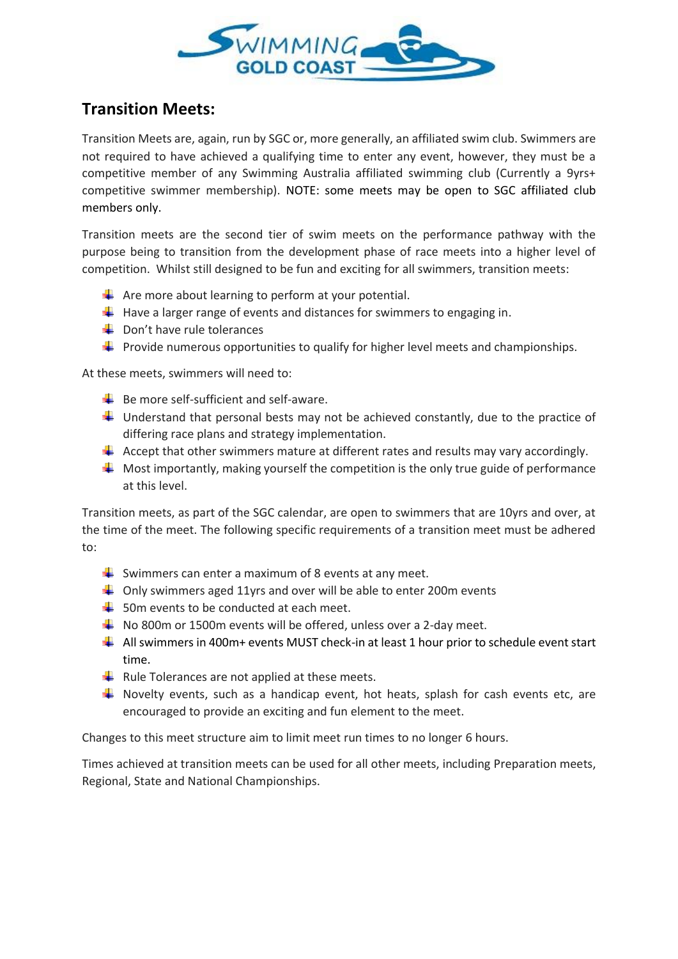

### **Transition Meets:**

Transition Meets are, again, run by SGC or, more generally, an affiliated swim club. Swimmers are not required to have achieved a qualifying time to enter any event, however, they must be a competitive member of any Swimming Australia affiliated swimming club (Currently a 9yrs+ competitive swimmer membership). NOTE: some meets may be open to SGC affiliated club members only.

Transition meets are the second tier of swim meets on the performance pathway with the purpose being to transition from the development phase of race meets into a higher level of competition. Whilst still designed to be fun and exciting for all swimmers, transition meets:

- $\frac{1}{\sqrt{2}}$  Are more about learning to perform at your potential.
- $\downarrow$  Have a larger range of events and distances for swimmers to engaging in.
- $\frac{1}{2}$  Don't have rule tolerances
- $\ddot{+}$  Provide numerous opportunities to qualify for higher level meets and championships.

At these meets, swimmers will need to:

- $\bigstar$  Be more self-sufficient and self-aware.
- $\ddot{\text{+}}$  Understand that personal bests may not be achieved constantly, due to the practice of differing race plans and strategy implementation.
- $\triangleq$  Accept that other swimmers mature at different rates and results may vary accordingly.
- $\ddot{+}$  Most importantly, making yourself the competition is the only true guide of performance at this level.

Transition meets, as part of the SGC calendar, are open to swimmers that are 10yrs and over, at the time of the meet. The following specific requirements of a transition meet must be adhered to:

- Swimmers can enter a maximum of 8 events at any meet.
- $\downarrow$  Only swimmers aged 11yrs and over will be able to enter 200m events
- $\pm$  50m events to be conducted at each meet.
- $\overline{\text{+}}$  No 800m or 1500m events will be offered, unless over a 2-day meet.
- $\downarrow$  All swimmers in 400m+ events MUST check-in at least 1 hour prior to schedule event start time.
- $\downarrow$  Rule Tolerances are not applied at these meets.
- $\frac{1}{2}$  Novelty events, such as a handicap event, hot heats, splash for cash events etc, are encouraged to provide an exciting and fun element to the meet.

Changes to this meet structure aim to limit meet run times to no longer 6 hours.

Times achieved at transition meets can be used for all other meets, including Preparation meets, Regional, State and National Championships.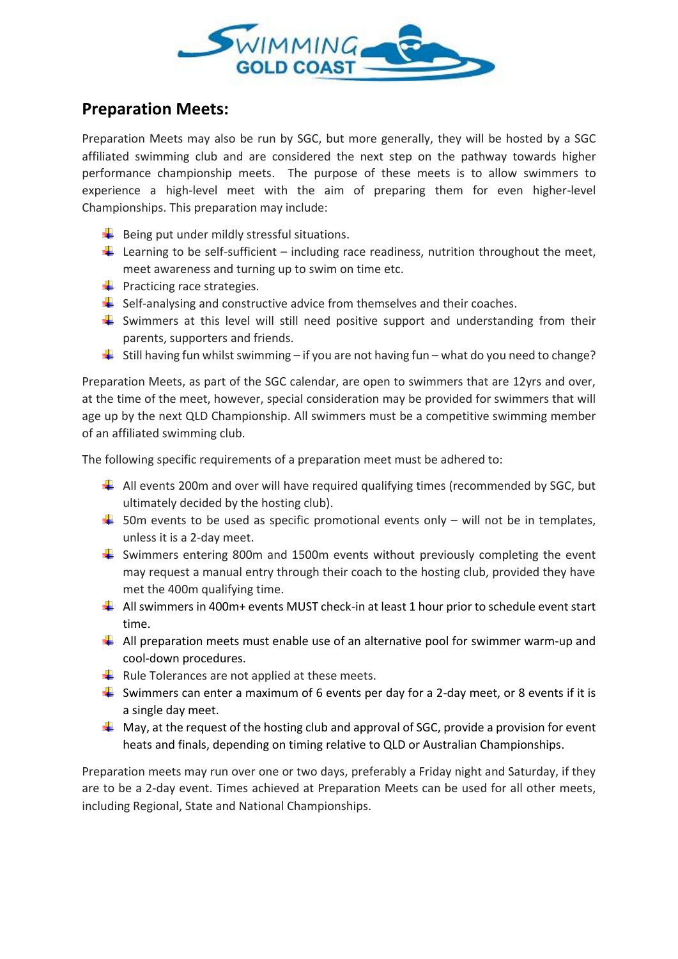

#### **Preparation Meets:**

Preparation Meets may also be run by SGC, but more generally, they will be hosted by a SGC affiliated swimming club and are considered the next step on the pathway towards higher performance championship meets. The purpose of these meets is to allow swimmers to experience a high-level meet with the aim of preparing them for even higher-level Championships. This preparation may include:

- $\frac{1}{\sqrt{2}}$  Being put under mildly stressful situations.
- Learning to be self-sufficient including race readiness, nutrition throughout the meet, meet awareness and turning up to swim on time etc.
- $\leftarrow$  Practicing race strategies.
- $\frac{1}{2}$  Self-analysing and constructive advice from themselves and their coaches.
- $\ddot{\phantom{1}}$  Swimmers at this level will still need positive support and understanding from their parents, supporters and friends.
- $\ddot{+}$  Still having fun whilst swimming if you are not having fun what do you need to change?

Preparation Meets, as part of the SGC calendar, are open to swimmers that are 12yrs and over, at the time of the meet, however, special consideration may be provided for swimmers that will age up by the next QLD Championship. All swimmers must be a competitive swimming member of an affiliated swimming club.

The following specific requirements of a preparation meet must be adhered to:

- $\downarrow$  All events 200m and over will have required qualifying times (recommended by SGC, but ultimately decided by the hosting club).
- $\frac{1}{2}$  50m events to be used as specific promotional events only will not be in templates, unless it is a 2-day meet.
- $\ddot{+}$  Swimmers entering 800m and 1500m events without previously completing the event may request a manual entry through their coach to the hosting club, provided they have met the 400m qualifying time.
- $\downarrow$  All swimmers in 400m+ events MUST check-in at least 1 hour prior to schedule event start time.
- $\ddot{\phantom{1}}$  All preparation meets must enable use of an alternative pool for swimmer warm-up and cool-down procedures.
- $\downarrow$  Rule Tolerances are not applied at these meets.
- Swimmers can enter a maximum of 6 events per day for a 2-day meet, or 8 events if it is a single day meet.
- $\downarrow$  May, at the request of the hosting club and approval of SGC, provide a provision for event heats and finals, depending on timing relative to QLD or Australian Championships.

Preparation meets may run over one or two days, preferably a Friday night and Saturday, if they are to be a 2-day event. Times achieved at Preparation Meets can be used for all other meets, including Regional, State and National Championships.